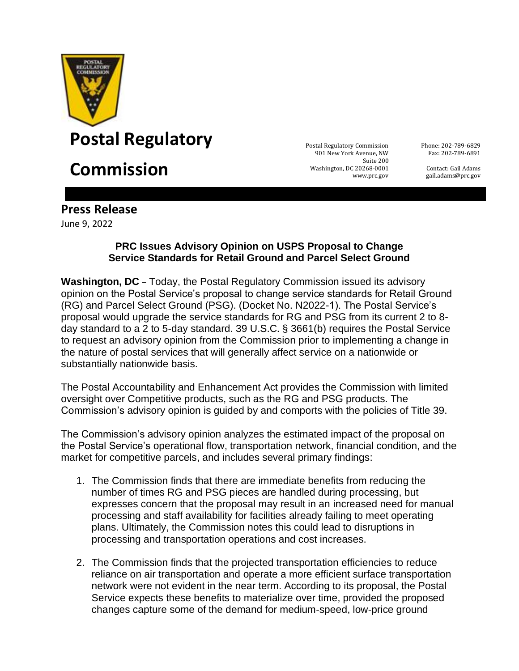

## **Postal Regulatory** Postal Register of Postal Regulatory Commission

## **Commission** Suite 200

901 New York Avenue, NW Washington, DC 20268-0001 www.prc.gov

Phone: 202-789-6829 Fax: 202-789-6891

Contact: Gail Adams gail.adams@prc.gov

## **Press Release**

June 9, 2022

## **PRC Issues Advisory Opinion on USPS Proposal to Change Service Standards for Retail Ground and Parcel Select Ground**

**Washington, DC** – Today, the Postal Regulatory Commission issued its advisory opinion on the Postal Service's proposal to change service standards for Retail Ground (RG) and Parcel Select Ground (PSG). (Docket No. N2022-1). The Postal Service's proposal would upgrade the service standards for RG and PSG from its current 2 to 8 day standard to a 2 to 5-day standard. 39 U.S.C. § 3661(b) requires the Postal Service to request an advisory opinion from the Commission prior to implementing a change in the nature of postal services that will generally affect service on a nationwide or substantially nationwide basis.

The Postal Accountability and Enhancement Act provides the Commission with limited oversight over Competitive products, such as the RG and PSG products. The Commission's advisory opinion is guided by and comports with the policies of Title 39.

The Commission's advisory opinion analyzes the estimated impact of the proposal on the Postal Service's operational flow, transportation network, financial condition, and the market for competitive parcels, and includes several primary findings:

- 1. The Commission finds that there are immediate benefits from reducing the number of times RG and PSG pieces are handled during processing, but expresses concern that the proposal may result in an increased need for manual processing and staff availability for facilities already failing to meet operating plans. Ultimately, the Commission notes this could lead to disruptions in processing and transportation operations and cost increases.
- 2. The Commission finds that the projected transportation efficiencies to reduce reliance on air transportation and operate a more efficient surface transportation network were not evident in the near term. According to its proposal, the Postal Service expects these benefits to materialize over time, provided the proposed changes capture some of the demand for medium-speed, low-price ground